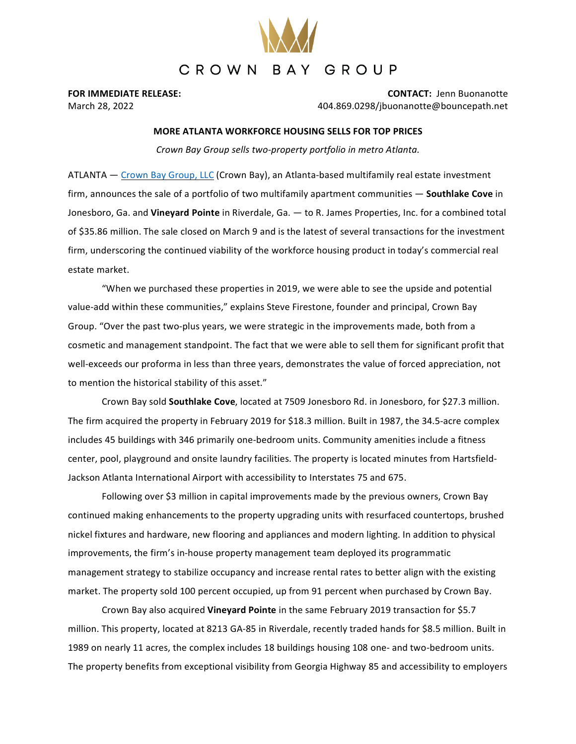

**FOR IMMEDIATE RELEASE: CONTACT:** Jenn Buonanotte March 28, 2022 404.869.0298/jbuonanotte@bouncepath.net

## **MORE ATLANTA WORKFORCE HOUSING SELLS FOR TOP PRICES**

*Crown Bay Group sells two-property portfolio in metro Atlanta.*

ATLANTA — Crown Bay Group, LLC (Crown Bay), an Atlanta-based multifamily real estate investment firm, announces the sale of a portfolio of two multifamily apartment communities — **Southlake Cove** in Jonesboro, Ga. and **Vineyard Pointe** in Riverdale, Ga. — to R. James Properties, Inc. for a combined total of \$35.86 million. The sale closed on March 9 and is the latest of several transactions for the investment firm, underscoring the continued viability of the workforce housing product in today's commercial real estate market.

"When we purchased these properties in 2019, we were able to see the upside and potential value-add within these communities," explains Steve Firestone, founder and principal, Crown Bay Group. "Over the past two-plus years, we were strategic in the improvements made, both from a cosmetic and management standpoint. The fact that we were able to sell them for significant profit that well-exceeds our proforma in less than three years, demonstrates the value of forced appreciation, not to mention the historical stability of this asset."

Crown Bay sold **Southlake Cove**, located at 7509 Jonesboro Rd. in Jonesboro, for \$27.3 million. The firm acquired the property in February 2019 for \$18.3 million. Built in 1987, the 34.5-acre complex includes 45 buildings with 346 primarily one-bedroom units. Community amenities include a fitness center, pool, playground and onsite laundry facilities. The property is located minutes from Hartsfield-Jackson Atlanta International Airport with accessibility to Interstates 75 and 675.

Following over \$3 million in capital improvements made by the previous owners, Crown Bay continued making enhancements to the property upgrading units with resurfaced countertops, brushed nickel fixtures and hardware, new flooring and appliances and modern lighting. In addition to physical improvements, the firm's in-house property management team deployed its programmatic management strategy to stabilize occupancy and increase rental rates to better align with the existing market. The property sold 100 percent occupied, up from 91 percent when purchased by Crown Bay.

Crown Bay also acquired **Vineyard Pointe** in the same February 2019 transaction for \$5.7 million. This property, located at 8213 GA-85 in Riverdale, recently traded hands for \$8.5 million. Built in 1989 on nearly 11 acres, the complex includes 18 buildings housing 108 one- and two-bedroom units. The property benefits from exceptional visibility from Georgia Highway 85 and accessibility to employers